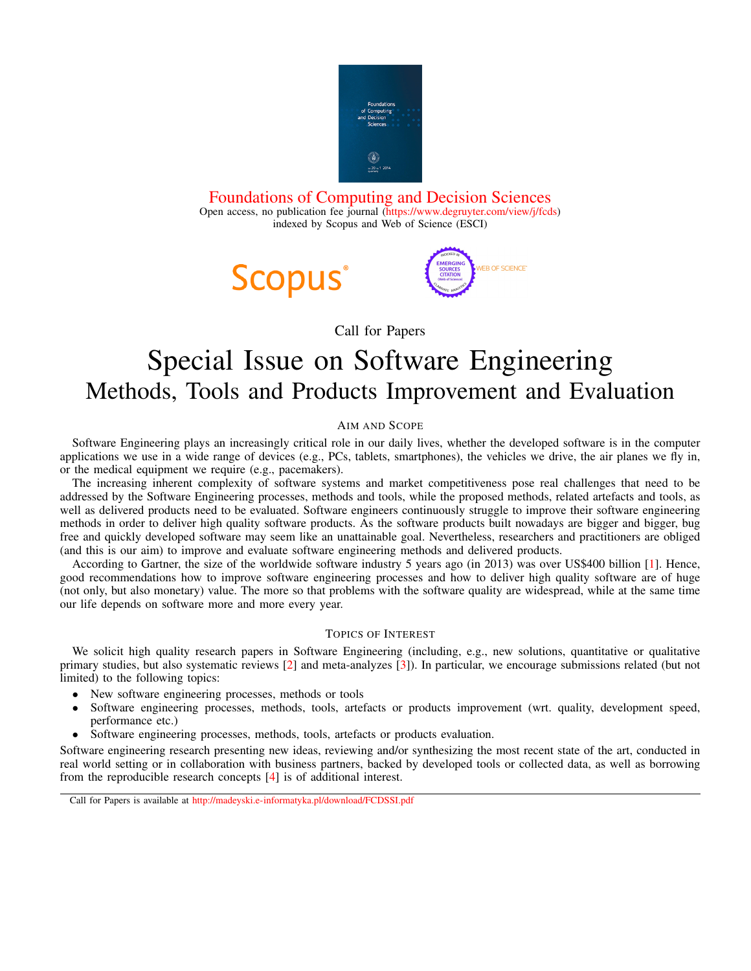

[Foundations of Computing and Decision Sciences](http://fcds.cs.put.poznan.pl/fcds/) Open access, no publication fee journal [\(https://www.degruyter.com/view/j/fcds\)](https://www.degruyter.com/view/j/fcds) indexed by Scopus and Web of Science (ESCI)





Call for Papers

# Special Issue on Software Engineering Methods, Tools and Products Improvement and Evaluation

## AIM AND SCOPE

Software Engineering plays an increasingly critical role in our daily lives, whether the developed software is in the computer applications we use in a wide range of devices (e.g., PCs, tablets, smartphones), the vehicles we drive, the air planes we fly in, or the medical equipment we require (e.g., pacemakers).

The increasing inherent complexity of software systems and market competitiveness pose real challenges that need to be addressed by the Software Engineering processes, methods and tools, while the proposed methods, related artefacts and tools, as well as delivered products need to be evaluated. Software engineers continuously struggle to improve their software engineering methods in order to deliver high quality software products. As the software products built nowadays are bigger and bigger, bug free and quickly developed software may seem like an unattainable goal. Nevertheless, researchers and practitioners are obliged (and this is our aim) to improve and evaluate software engineering methods and delivered products.

According to Gartner, the size of the worldwide software industry 5 years ago (in 2013) was over US\$400 billion [\[1\]](#page-1-0). Hence, good recommendations how to improve software engineering processes and how to deliver high quality software are of huge (not only, but also monetary) value. The more so that problems with the software quality are widespread, while at the same time our life depends on software more and more every year.

## TOPICS OF INTEREST

We solicit high quality research papers in Software Engineering (including, e.g., new solutions, quantitative or qualitative primary studies, but also systematic reviews [\[2\]](#page-1-1) and meta-analyzes [\[3\]](#page-1-2)). In particular, we encourage submissions related (but not limited) to the following topics:

- New software engineering processes, methods or tools
- Software engineering processes, methods, tools, artefacts or products improvement (wrt. quality, development speed, performance etc.)
- Software engineering processes, methods, tools, artefacts or products evaluation.

Software engineering research presenting new ideas, reviewing and/or synthesizing the most recent state of the art, conducted in real world setting or in collaboration with business partners, backed by developed tools or collected data, as well as borrowing from the reproducible research concepts [\[4\]](#page-1-3) is of additional interest.

Call for Papers is available at <http://madeyski.e-informatyka.pl/download/FCDSSI.pdf>